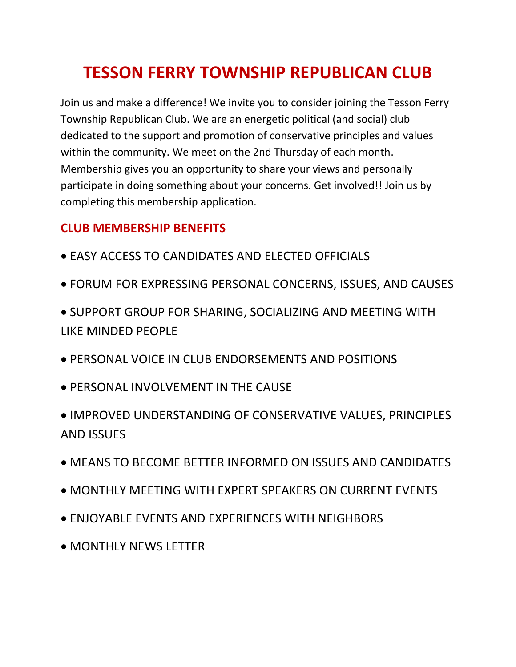## **TESSON FERRY TOWNSHIP REPUBLICAN CLUB**

Join us and make a difference! We invite you to consider joining the Tesson Ferry Township Republican Club. We are an energetic political (and social) club dedicated to the support and promotion of conservative principles and values within the community. We meet on the 2nd Thursday of each month. Membership gives you an opportunity to share your views and personally participate in doing something about your concerns. Get involved!! Join us by completing this membership application.

## **CLUB MEMBERSHIP BENEFITS**

- EASY ACCESS TO CANDIDATES AND ELECTED OFFICIALS
- FORUM FOR EXPRESSING PERSONAL CONCERNS, ISSUES, AND CAUSES
- SUPPORT GROUP FOR SHARING, SOCIALIZING AND MEETING WITH LIKE MINDED PEOPLE
- PERSONAL VOICE IN CLUB ENDORSEMENTS AND POSITIONS
- PERSONAL INVOLVEMENT IN THE CAUSE
- IMPROVED UNDERSTANDING OF CONSERVATIVE VALUES, PRINCIPLES AND ISSUES
- MEANS TO BECOME BETTER INFORMED ON ISSUES AND CANDIDATES
- MONTHLY MEETING WITH EXPERT SPEAKERS ON CURRENT EVENTS
- ENJOYABLE EVENTS AND EXPERIENCES WITH NEIGHBORS
- MONTHLY NEWS LETTER